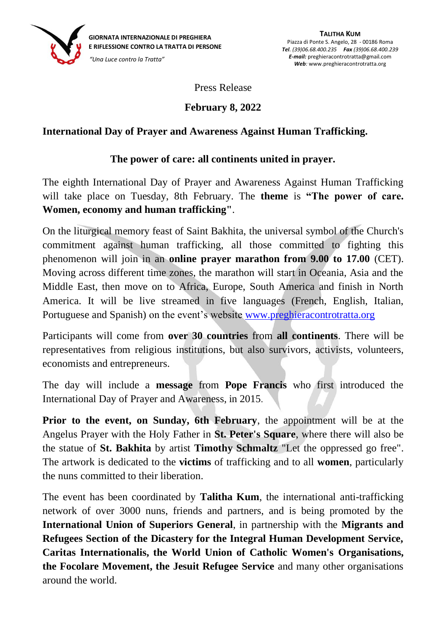

Press Release

## **February 8, 2022**

## **International Day of Prayer and Awareness Against Human Trafficking.**

## **The power of care: all continents united in prayer.**

The eighth International Day of Prayer and Awareness Against Human Trafficking will take place on Tuesday, 8th February. The **theme** is **"The power of care. Women, economy and human trafficking"**.

On the liturgical memory feast of Saint Bakhita, the universal symbol of the Church's commitment against human trafficking, all those committed to fighting this phenomenon will join in an **online prayer marathon from 9.00 to 17.00** (CET). Moving across different time zones, the marathon will start in Oceania, Asia and the Middle East, then move on to Africa, Europe, South America and finish in North America. It will be live streamed in five languages (French, English, Italian, Portuguese and Spanish) on the event's website [www.preghieracontrotratta.org](file://///UISG-SERVER/Public/TALITHA%20KUM/GMPT/GMPT%202022/COMUNICATO%20STAMPA/www.preghieracontrotratta.org) FERILESSIONE CONTROL AT THE FRANCISTON CONTROL AT ATTA DI PERSONE CONTROL AT THE CIGNATA INTERNATA DUPIES FOR THE CIGNATA INTERNATA DUPIES FOR THE CIGNATA INTERNATA THE CIGNATA INTERNATA INTERNATION WILL THE CONTROL WILL T

Participants will come from **over 30 countries** from **all continents**. There will be representatives from religious institutions, but also survivors, activists, volunteers, economists and entrepreneurs.

The day will include a **message** from **Pope Francis** who first introduced the International Day of Prayer and Awareness, in 2015.

**Prior to the event, on Sunday, 6th February**, the appointment will be at the Angelus Prayer with the Holy Father in **St. Peter's Square**, where there will also be the statue of **St. Bakhita** by artist **Timothy Schmaltz** "Let the oppressed go free". The artwork is dedicated to the **victims** of trafficking and to all **women**, particularly the nuns committed to their liberation.

The event has been coordinated by **Talitha Kum**, the international anti-trafficking network of over 3000 nuns, friends and partners, and is being promoted by the **International Union of Superiors General**, in partnership with the **Migrants and Refugees Section of the Dicastery for the Integral Human Development Service, Caritas Internationalis, the World Union of Catholic Women's Organisations, the Focolare Movement, the Jesuit Refugee Service** and many other organisations